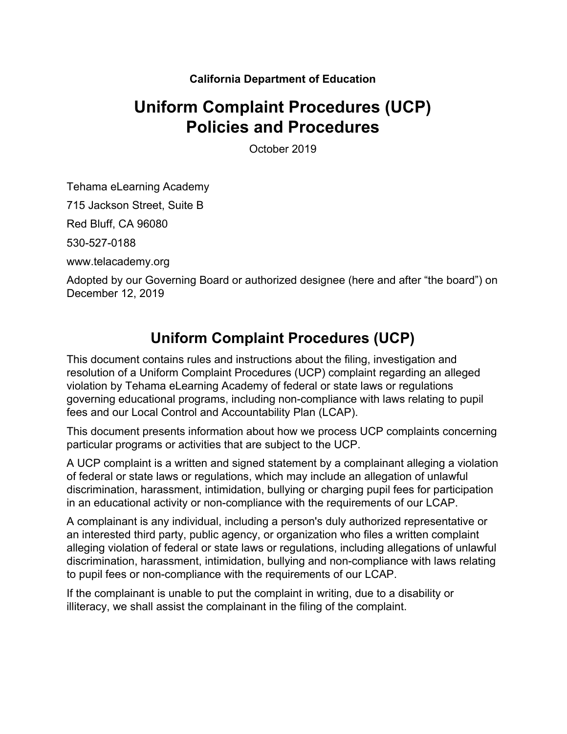#### **California Department of Education**

# **Uniform Complaint Procedures (UCP) Policies and Procedures**

October 2019

Tehama eLearning Academy

715 Jackson Street, Suite B

Red Bluff, CA 96080

530-527-0188

www.telacademy.org

Adopted by our Governing Board or authorized designee (here and after "the board") on December 12, 2019

## **Uniform Complaint Procedures (UCP)**

This document contains rules and instructions about the filing, investigation and resolution of a Uniform Complaint Procedures (UCP) complaint regarding an alleged violation by Tehama eLearning Academy of federal or state laws or regulations governing educational programs, including non-compliance with laws relating to pupil fees and our Local Control and Accountability Plan (LCAP).

This document presents information about how we process UCP complaints concerning particular programs or activities that are subject to the UCP.

A UCP complaint is a written and signed statement by a complainant alleging a violation of federal or state laws or regulations, which may include an allegation of unlawful discrimination, harassment, intimidation, bullying or charging pupil fees for participation in an educational activity or non-compliance with the requirements of our LCAP.

A complainant is any individual, including a person's duly authorized representative or an interested third party, public agency, or organization who files a written complaint alleging violation of federal or state laws or regulations, including allegations of unlawful discrimination, harassment, intimidation, bullying and non-compliance with laws relating to pupil fees or non-compliance with the requirements of our LCAP.

If the complainant is unable to put the complaint in writing, due to a disability or illiteracy, we shall assist the complainant in the filing of the complaint.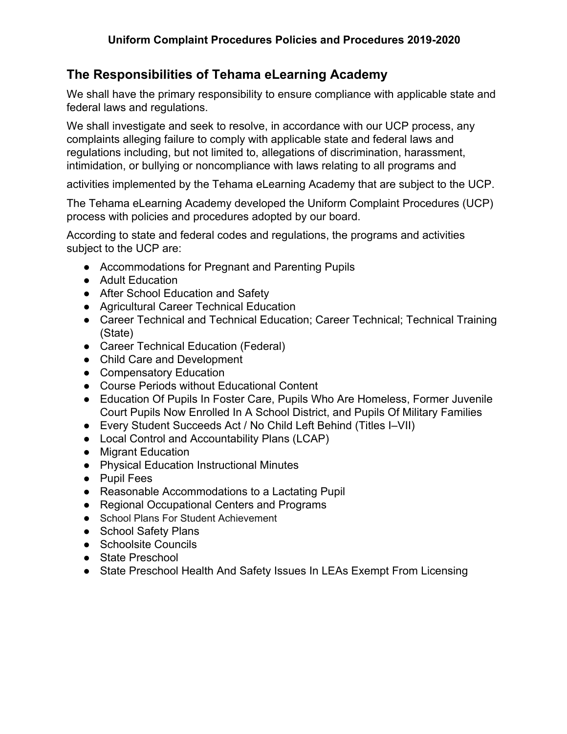### **The Responsibilities of Tehama eLearning Academy**

We shall have the primary responsibility to ensure compliance with applicable state and federal laws and regulations.

We shall investigate and seek to resolve, in accordance with our UCP process, any complaints alleging failure to comply with applicable state and federal laws and regulations including, but not limited to, allegations of discrimination, harassment, intimidation, or bullying or noncompliance with laws relating to all programs and

activities implemented by the Tehama eLearning Academy that are subject to the UCP.

The Tehama eLearning Academy developed the Uniform Complaint Procedures (UCP) process with policies and procedures adopted by our board.

According to state and federal codes and regulations, the programs and activities subject to the UCP are:

- Accommodations for Pregnant and Parenting Pupils
- Adult Education
- After School Education and Safety
- Agricultural Career Technical Education
- Career Technical and Technical Education; Career Technical; Technical Training (State)
- Career Technical Education (Federal)
- Child Care and Development
- Compensatory Education
- Course Periods without Educational Content
- Education Of Pupils In Foster Care, Pupils Who Are Homeless, Former Juvenile Court Pupils Now Enrolled In A School District, and Pupils Of Military Families
- Every Student Succeeds Act / No Child Left Behind (Titles I–VII)
- Local Control and Accountability Plans (LCAP)
- Migrant Education
- Physical Education Instructional Minutes
- Pupil Fees
- Reasonable Accommodations to a Lactating Pupil
- Regional Occupational Centers and Programs
- School Plans For Student Achievement
- School Safety Plans
- Schoolsite Councils
- State Preschool
- State Preschool Health And Safety Issues In LEAs Exempt From Licensing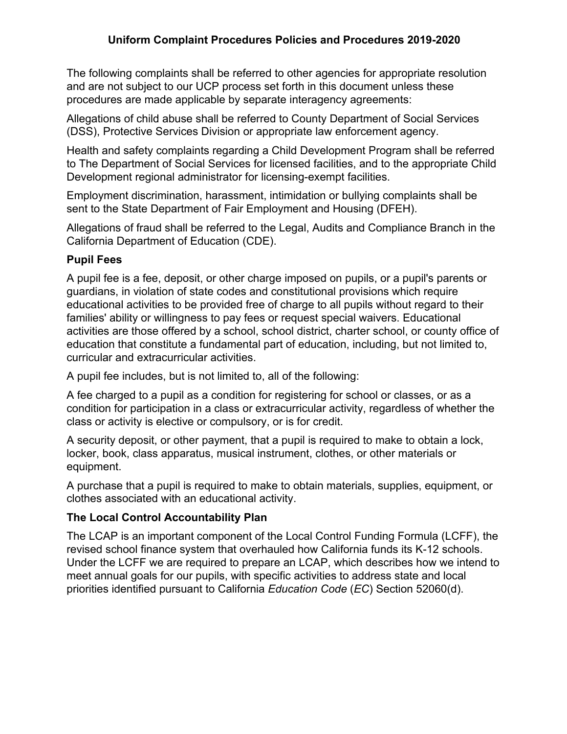The following complaints shall be referred to other agencies for appropriate resolution and are not subject to our UCP process set forth in this document unless these procedures are made applicable by separate interagency agreements:

Allegations of child abuse shall be referred to County Department of Social Services (DSS), Protective Services Division or appropriate law enforcement agency.

Health and safety complaints regarding a Child Development Program shall be referred to The Department of Social Services for licensed facilities, and to the appropriate Child Development regional administrator for licensing-exempt facilities.

Employment discrimination, harassment, intimidation or bullying complaints shall be sent to the State Department of Fair Employment and Housing (DFEH).

Allegations of fraud shall be referred to the Legal, Audits and Compliance Branch in the California Department of Education (CDE).

#### **Pupil Fees**

A pupil fee is a fee, deposit, or other charge imposed on pupils, or a pupil's parents or guardians, in violation of state codes and constitutional provisions which require educational activities to be provided free of charge to all pupils without regard to their families' ability or willingness to pay fees or request special waivers. Educational activities are those offered by a school, school district, charter school, or county office of education that constitute a fundamental part of education, including, but not limited to, curricular and extracurricular activities.

A pupil fee includes, but is not limited to, all of the following:

A fee charged to a pupil as a condition for registering for school or classes, or as a condition for participation in a class or extracurricular activity, regardless of whether the class or activity is elective or compulsory, or is for credit.

A security deposit, or other payment, that a pupil is required to make to obtain a lock, locker, book, class apparatus, musical instrument, clothes, or other materials or equipment.

A purchase that a pupil is required to make to obtain materials, supplies, equipment, or clothes associated with an educational activity.

#### **The Local Control Accountability Plan**

The LCAP is an important component of the Local Control Funding Formula (LCFF), the revised school finance system that overhauled how California funds its K-12 schools. Under the LCFF we are required to prepare an LCAP, which describes how we intend to meet annual goals for our pupils, with specific activities to address state and local priorities identified pursuant to California *Education Code* (*EC*) Section 52060(d).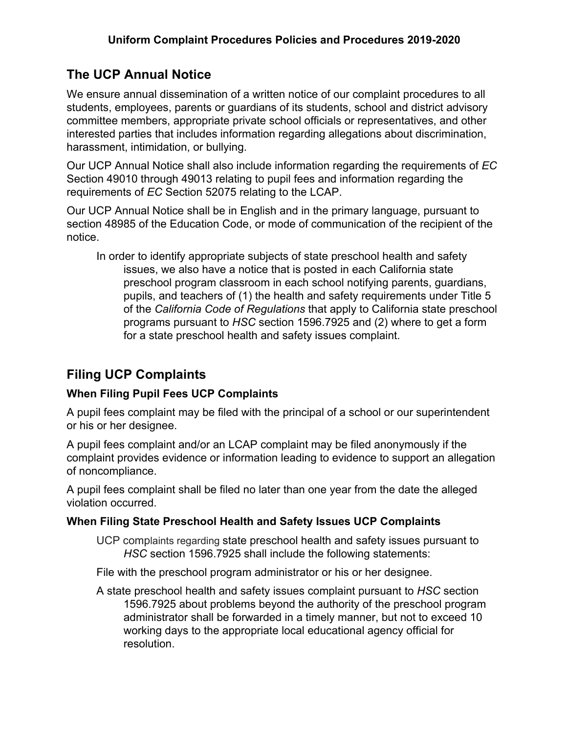### **The UCP Annual Notice**

We ensure annual dissemination of a written notice of our complaint procedures to all students, employees, parents or guardians of its students, school and district advisory committee members, appropriate private school officials or representatives, and other interested parties that includes information regarding allegations about discrimination, harassment, intimidation, or bullying.

Our UCP Annual Notice shall also include information regarding the requirements of *EC* Section 49010 through 49013 relating to pupil fees and information regarding the requirements of *EC* Section 52075 relating to the LCAP.

Our UCP Annual Notice shall be in English and in the primary language, pursuant to section 48985 of the Education Code, or mode of communication of the recipient of the notice.

In order to identify appropriate subjects of state preschool health and safety issues, we also have a notice that is posted in each California state preschool program classroom in each school notifying parents, guardians, pupils, and teachers of (1) the health and safety requirements under Title 5 of the *California Code of Regulations* that apply to California state preschool programs pursuant to *HSC* section 1596.7925 and (2) where to get a form for a state preschool health and safety issues complaint.

### **Filing UCP Complaints**

#### **When Filing Pupil Fees UCP Complaints**

A pupil fees complaint may be filed with the principal of a school or our superintendent or his or her designee.

A pupil fees complaint and/or an LCAP complaint may be filed anonymously if the complaint provides evidence or information leading to evidence to support an allegation of noncompliance.

A pupil fees complaint shall be filed no later than one year from the date the alleged violation occurred.

#### **When Filing State Preschool Health and Safety Issues UCP Complaints**

UCP complaints regarding state preschool health and safety issues pursuant to *HSC* section 1596.7925 shall include the following statements:

File with the preschool program administrator or his or her designee.

A state preschool health and safety issues complaint pursuant to *HSC* section 1596.7925 about problems beyond the authority of the preschool program administrator shall be forwarded in a timely manner, but not to exceed 10 working days to the appropriate local educational agency official for resolution.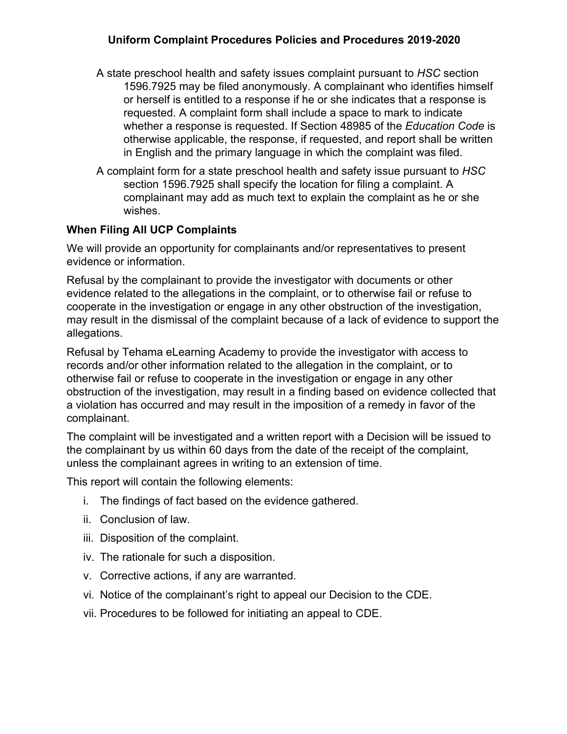#### **Uniform Complaint Procedures Policies and Procedures 2019-2020**

- A state preschool health and safety issues complaint pursuant to *HSC* section 1596.7925 may be filed anonymously. A complainant who identifies himself or herself is entitled to a response if he or she indicates that a response is requested. A complaint form shall include a space to mark to indicate whether a response is requested. If Section 48985 of the *Education Code* is otherwise applicable, the response, if requested, and report shall be written in English and the primary language in which the complaint was filed.
- A complaint form for a state preschool health and safety issue pursuant to *HSC* section 1596.7925 shall specify the location for filing a complaint. A complainant may add as much text to explain the complaint as he or she wishes.

#### **When Filing All UCP Complaints**

We will provide an opportunity for complainants and/or representatives to present evidence or information.

Refusal by the complainant to provide the investigator with documents or other evidence related to the allegations in the complaint, or to otherwise fail or refuse to cooperate in the investigation or engage in any other obstruction of the investigation, may result in the dismissal of the complaint because of a lack of evidence to support the allegations.

Refusal by Tehama eLearning Academy to provide the investigator with access to records and/or other information related to the allegation in the complaint, or to otherwise fail or refuse to cooperate in the investigation or engage in any other obstruction of the investigation, may result in a finding based on evidence collected that a violation has occurred and may result in the imposition of a remedy in favor of the complainant.

The complaint will be investigated and a written report with a Decision will be issued to the complainant by us within 60 days from the date of the receipt of the complaint, unless the complainant agrees in writing to an extension of time.

This report will contain the following elements:

- i. The findings of fact based on the evidence gathered.
- ii. Conclusion of law.
- iii. Disposition of the complaint.
- iv. The rationale for such a disposition.
- v. Corrective actions, if any are warranted.
- vi. Notice of the complainant's right to appeal our Decision to the CDE.
- vii. Procedures to be followed for initiating an appeal to CDE.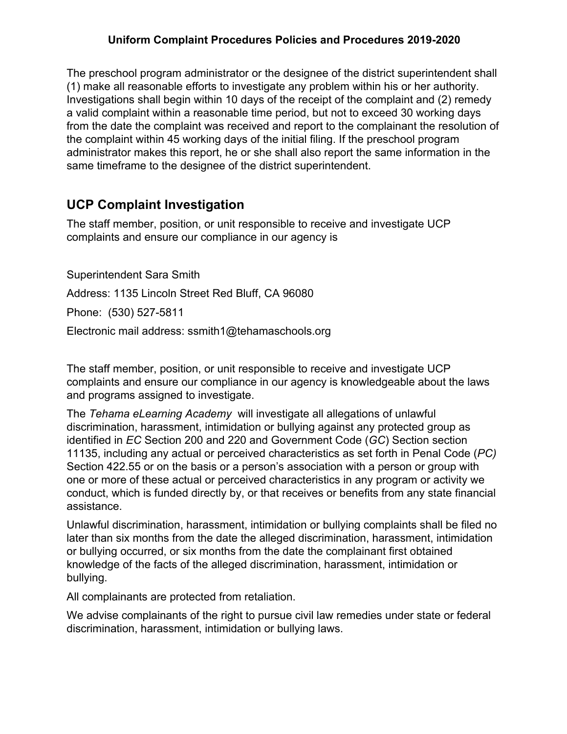#### **Uniform Complaint Procedures Policies and Procedures 2019-2020**

The preschool program administrator or the designee of the district superintendent shall (1) make all reasonable efforts to investigate any problem within his or her authority. Investigations shall begin within 10 days of the receipt of the complaint and (2) remedy a valid complaint within a reasonable time period, but not to exceed 30 working days from the date the complaint was received and report to the complainant the resolution of the complaint within 45 working days of the initial filing. If the preschool program administrator makes this report, he or she shall also report the same information in the same timeframe to the designee of the district superintendent.

### **UCP Complaint Investigation**

The staff member, position, or unit responsible to receive and investigate UCP complaints and ensure our compliance in our agency is

Superintendent Sara Smith Address: 1135 Lincoln Street Red Bluff, CA 96080 Phone: (530) 527-5811 Electronic mail address: ssmith1@tehamaschools.org

The staff member, position, or unit responsible to receive and investigate UCP complaints and ensure our compliance in our agency is knowledgeable about the laws and programs assigned to investigate.

The *Tehama eLearning Academy* will investigate all allegations of unlawful discrimination, harassment, intimidation or bullying against any protected group as identified in *EC* Section 200 and 220 and Government Code (*GC*) Section section 11135, including any actual or perceived characteristics as set forth in Penal Code (*PC)* Section 422.55 or on the basis or a person's association with a person or group with one or more of these actual or perceived characteristics in any program or activity we conduct, which is funded directly by, or that receives or benefits from any state financial assistance.

Unlawful discrimination, harassment, intimidation or bullying complaints shall be filed no later than six months from the date the alleged discrimination, harassment, intimidation or bullying occurred, or six months from the date the complainant first obtained knowledge of the facts of the alleged discrimination, harassment, intimidation or bullying.

All complainants are protected from retaliation.

We advise complainants of the right to pursue civil law remedies under state or federal discrimination, harassment, intimidation or bullying laws.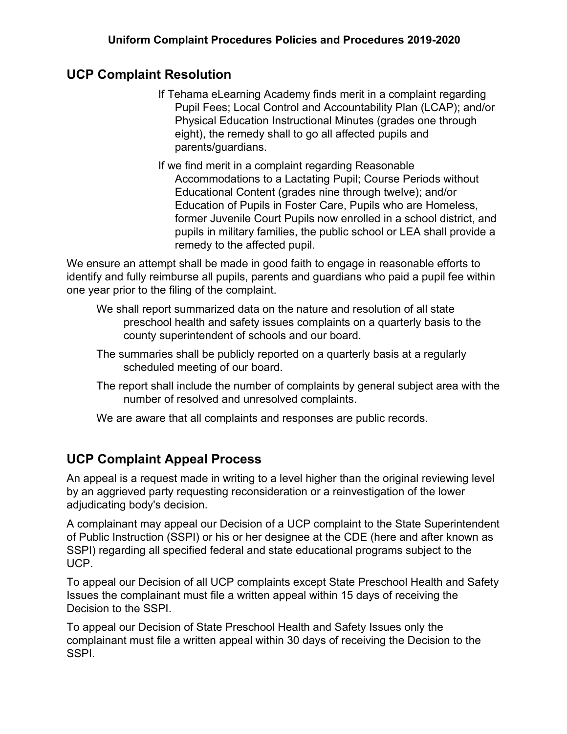### **UCP Complaint Resolution**

- If Tehama eLearning Academy finds merit in a complaint regarding Pupil Fees; Local Control and Accountability Plan (LCAP); and/or Physical Education Instructional Minutes (grades one through eight), the remedy shall to go all affected pupils and parents/guardians.
- If we find merit in a complaint regarding Reasonable Accommodations to a Lactating Pupil; Course Periods without Educational Content (grades nine through twelve); and/or Education of Pupils in Foster Care, Pupils who are Homeless, former Juvenile Court Pupils now enrolled in a school district, and pupils in military families, the public school or LEA shall provide a remedy to the affected pupil.

We ensure an attempt shall be made in good faith to engage in reasonable efforts to identify and fully reimburse all pupils, parents and guardians who paid a pupil fee within one year prior to the filing of the complaint.

- We shall report summarized data on the nature and resolution of all state preschool health and safety issues complaints on a quarterly basis to the county superintendent of schools and our board.
- The summaries shall be publicly reported on a quarterly basis at a regularly scheduled meeting of our board.
- The report shall include the number of complaints by general subject area with the number of resolved and unresolved complaints.
- We are aware that all complaints and responses are public records.

### **UCP Complaint Appeal Process**

An appeal is a request made in writing to a level higher than the original reviewing level by an aggrieved party requesting reconsideration or a reinvestigation of the lower adjudicating body's decision.

A complainant may appeal our Decision of a UCP complaint to the State Superintendent of Public Instruction (SSPI) or his or her designee at the CDE (here and after known as SSPI) regarding all specified federal and state educational programs subject to the UCP.

To appeal our Decision of all UCP complaints except State Preschool Health and Safety Issues the complainant must file a written appeal within 15 days of receiving the Decision to the SSPI.

To appeal our Decision of State Preschool Health and Safety Issues only the complainant must file a written appeal within 30 days of receiving the Decision to the SSPI.